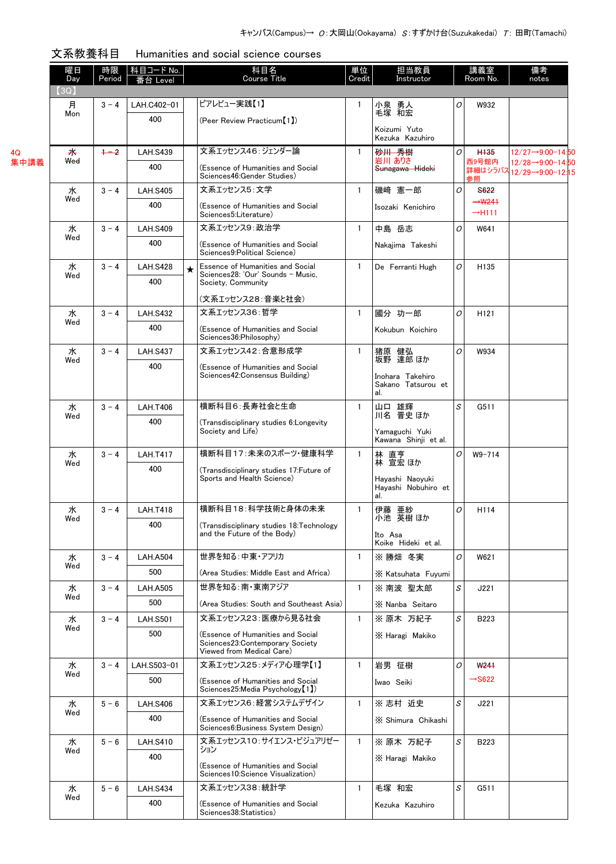|      | 曜日<br>Day  | 時限<br>Period | 科目コード No.<br>番台 Level |   | 科目名<br><b>Course Title</b>                                                                                  | 単位<br>Credit | 担当教員<br>Instructor                            | 講義室<br>Room No. |                                          | 備考<br>notes                                 |  |
|------|------------|--------------|-----------------------|---|-------------------------------------------------------------------------------------------------------------|--------------|-----------------------------------------------|-----------------|------------------------------------------|---------------------------------------------|--|
|      | (3Q)       |              |                       |   | ピアレビュー実践【1】                                                                                                 |              |                                               |                 |                                          |                                             |  |
|      | 月<br>Mon   | $3 - 4$      | LAH.C402-01<br>400    |   |                                                                                                             | $\mathbf{1}$ | 小泉 勇人<br>毛塚 和宏                                | 0               | W932                                     |                                             |  |
|      |            |              |                       |   | (Peer Review Practicum <sup>[1]</sup> )                                                                     |              | Koizumi Yuto<br>Kezuka Kazuhiro               |                 |                                          |                                             |  |
| 4Q   | 来          | $+2$         | <b>LAH.S439</b>       |   | 文系エッセンス46:ジェンダー論                                                                                            | $\mathbf{1}$ | 砂川 秀樹                                         | 0               | H <sub>135</sub>                         | $12/27 - 9:00 - 14:50$                      |  |
| 集中講義 | <b>Wed</b> |              | 400                   |   | (Essence of Humanities and Social<br>Sciences46: Gender Studies)                                            |              | 岩川 ありさ<br>Sunagawa Hideki                     |                 | 西9号館内<br>参照                              | 12/28→9:00-14:50<br>詳細はシラバス12/29→9:00-12:15 |  |
|      | 水          | $3 - 4$      | <b>LAH.S405</b>       |   | 文系エッセンス5:文学                                                                                                 | $\mathbf{1}$ | 磯崎 憲一郎                                        | O               | S622                                     |                                             |  |
|      | Wed        |              | 400                   |   | (Essence of Humanities and Social<br>Sciences5:Literature)                                                  |              | Isozaki Kenichiro                             |                 | $\rightarrow$ W241<br>$\rightarrow$ H111 |                                             |  |
|      | 水          | $3 - 4$      | <b>LAH.S409</b>       |   | 文系エッセンス9:政治学                                                                                                | $\mathbf{1}$ | 中島 岳志                                         | 0               | W641                                     |                                             |  |
|      | Wed        |              | 400                   |   | (Essence of Humanities and Social<br>Sciences9: Political Science)                                          |              | Nakajima Takeshi                              |                 |                                          |                                             |  |
|      | 水          | $3 - 4$      | <b>LAH.S428</b>       | ★ | Essence of Humanities and Social<br>$\mathbf{1}$<br>Sciences28: 'Our' Sounds - Music,<br>Society, Community |              | De Ferranti Hugh                              | 0               | H <sub>135</sub>                         |                                             |  |
|      | Wed        |              | 400                   |   |                                                                                                             |              |                                               |                 |                                          |                                             |  |
|      |            |              |                       |   | (文系エッセンス28:音楽と社会)                                                                                           |              |                                               |                 |                                          |                                             |  |
|      | ж<br>Wed   | $3 - 4$      | <b>LAH.S432</b>       |   | 文系エッセンス36:哲学                                                                                                | $\mathbf{1}$ | 國分 功一郎                                        | 0               | H <sub>121</sub>                         |                                             |  |
|      |            |              | 400                   |   | (Essence of Humanities and Social<br>Sciences36: Philosophy)                                                |              | Kokubun Koichiro                              |                 |                                          |                                             |  |
|      | 水<br>Wed   | $3 - 4$      | <b>LAH.S437</b>       |   | 文系エッセンス42:合意形成学                                                                                             | $\mathbf{1}$ | 猪原 健弘<br>坂野 達郎ほか                              | $\overline{O}$  | W934                                     |                                             |  |
|      |            |              | 400                   |   | (Essence of Humanities and Social<br>Sciences42: Consensus Building)                                        |              | Inohara Takehiro                              |                 |                                          |                                             |  |
|      |            |              |                       |   |                                                                                                             |              | Sakano Tatsurou et<br>al.                     |                 |                                          |                                             |  |
|      | 水          | $3 - 4$      | <b>LAH.T406</b>       |   | 横断科目6:長寿社会と生命                                                                                               | $\mathbf{1}$ | 山口 雄輝<br>川名 晋史 ほか                             | S               | G511                                     |                                             |  |
|      | Wed        |              | 400                   |   | (Transdisciplinary studies 6: Longevity<br>Society and Life)                                                |              | Yamaguchi Yuki<br>Kawana Shinji et al.        |                 |                                          |                                             |  |
|      | 水          | $3 - 4$      | <b>LAH.T417</b>       |   | 横断科目17:未来のスポーツ・健康科学                                                                                         | $\mathbf{1}$ |                                               | O               | $W9 - 714$                               |                                             |  |
|      | Wed        |              | 400                   |   | (Transdisciplinary studies 17: Future of                                                                    |              | 林 直亨<br>林 宣宏 ほか                               |                 |                                          |                                             |  |
|      |            |              |                       |   | Sports and Health Science)                                                                                  |              | Hayashi Naoyuki<br>Hayashi Nobuhiro et<br>al. |                 |                                          |                                             |  |
|      | 水          | $3 - 4$      | <b>LAH.T418</b>       |   | 横断科目18:科学技術と身体の未来                                                                                           | $\mathbf{1}$ | 伊藤 亜紗                                         | 0               | H114                                     |                                             |  |
|      | Wed        |              | 400                   |   | (Transdisciplinary studies 18:Technology                                                                    |              | 小池 英樹 ほか                                      |                 |                                          |                                             |  |
|      |            |              |                       |   | and the Future of the Body)                                                                                 |              | Ito Asa<br>Koike Hideki et al.                |                 |                                          |                                             |  |
|      | 水          | $3 - 4$      | <b>LAH.A504</b>       |   | 世界を知る:中東・アフリカ                                                                                               | $\mathbf{1}$ | ※勝畑 冬実                                        | 0               | W621                                     |                                             |  |
|      | Wed        |              | 500                   |   | (Area Studies: Middle East and Africa)                                                                      |              | X Katsuhata Fuyumi                            |                 |                                          |                                             |  |
|      | 水          | $3 - 4$      | <b>LAH.A505</b>       |   | 世界を知る:南・東南アジア                                                                                               | $\mathbf{1}$ | ※ 南波 聖太郎                                      | S               | J221                                     |                                             |  |
|      | Wed        |              | 500                   |   | (Area Studies: South and Southeast Asia)                                                                    |              | X Nanba Seitaro                               |                 |                                          |                                             |  |
|      | 水          | $3 - 4$      | <b>LAH.S501</b>       |   | 文系エッセンス23: 医療から見る社会                                                                                         | $\mathbf{1}$ | ※ 原木 万紀子                                      | S               | B223                                     |                                             |  |
|      | Wed        |              | 500                   |   | (Essence of Humanities and Social<br>Sciences23: Contemporary Society<br>Viewed from Medical Care)          |              | X Haragi Makiko                               |                 |                                          |                                             |  |
|      | 水          | $3 - 4$      | LAH.S503-01           |   | 文系エッセンス25:メディア心理学【1】                                                                                        | $\mathbf{1}$ | 岩男 征樹                                         | O               | W <sub>241</sub>                         |                                             |  |
|      | Wed        |              | 500                   |   | (Essence of Humanities and Social<br>Sciences25:Media Psychology [1])                                       |              | Iwao Seiki                                    |                 | $\rightarrow$ S622                       |                                             |  |
|      | 水          | $5 - 6$      | <b>LAH.S406</b>       |   | 文系エッセンス6:経営システムデザイン                                                                                         | $\mathbf{1}$ | ※ 志村 近史                                       | S               | J221                                     |                                             |  |
|      | Wed        |              | 400                   |   | (Essence of Humanities and Social<br>Sciences6: Business System Design)                                     |              | X Shimura Chikashi                            |                 |                                          |                                             |  |
|      | 水          | $5 - 6$      | <b>LAH.S410</b>       |   | 文系エッセンス10:サイエンス・ビジュアリゼー                                                                                     | $\mathbf{1}$ | ※ 原木 万紀子                                      | S               | B223                                     |                                             |  |
|      | Wed        |              | 400                   |   | ション                                                                                                         |              | X Haragi Makiko                               |                 |                                          |                                             |  |
|      |            |              |                       |   | (Essence of Humanities and Social<br>Sciences10:Science Visualization)                                      |              |                                               |                 |                                          |                                             |  |
|      | 水          | $5 - 6$      | <b>LAH.S434</b>       |   | 文系エッセンス38:統計学                                                                                               | $\mathbf{1}$ | 毛塚 和宏                                         | S               | G511                                     |                                             |  |
|      | Wed        |              | 400                   |   | (Essence of Humanities and Social<br>Sciences38: Statistics)                                                |              | Kezuka Kazuhiro                               |                 |                                          |                                             |  |

| 文系教養科目 | Humanities and social science courses |  |
|--------|---------------------------------------|--|
|        |                                       |  |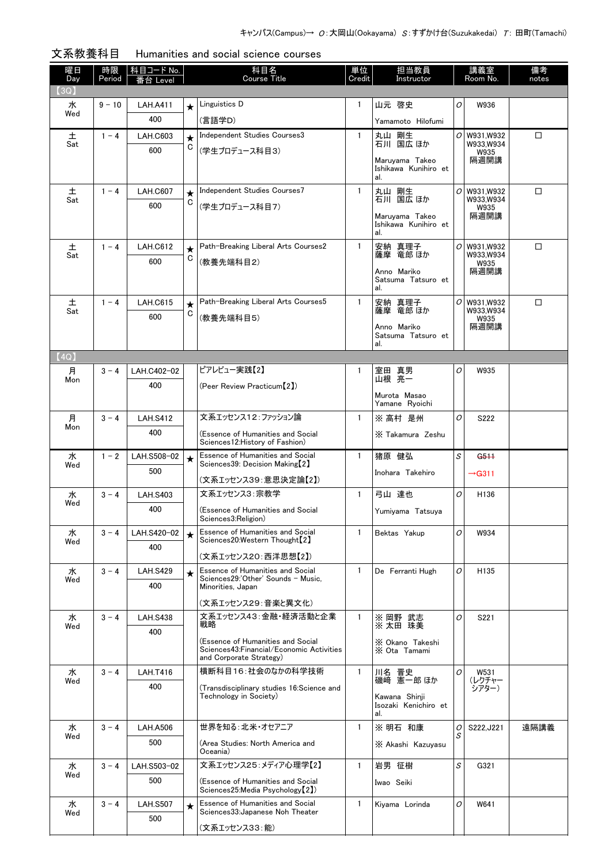| 曜日<br>Day | 時限<br>Period | 科目コード No.<br>台 Level   |              | 科目名<br><b>Course Title</b>                                                           | 単位<br>Credit | 担当教員<br>Instructor                     |          | 講義室<br>Room No.        | 備考<br>notes |
|-----------|--------------|------------------------|--------------|--------------------------------------------------------------------------------------|--------------|----------------------------------------|----------|------------------------|-------------|
| (3Q)      |              |                        |              |                                                                                      |              |                                        |          |                        |             |
| 水         | $9 - 10$     | <b>LAH.A411</b>        | $\star$      | Linguistics D                                                                        | $\mathbf{1}$ | 山元 啓史                                  | 0        | W936                   |             |
| Wed       |              | 400                    |              | (言語学D)                                                                               |              | Yamamoto Hilofumi                      |          |                        |             |
| 土         | $1 - 4$      | <b>LAH.C603</b>        | $\star$      | Independent Studies Courses3                                                         | $\mathbf{1}$ | 丸山 剛生<br>石川 国広 ほか                      | 0        | W931.W932              | □           |
| Sat       |              | 600                    | С            | (学生プロデュース科目3)                                                                        |              |                                        |          | W933,W934<br>W935      |             |
|           |              |                        |              |                                                                                      |              | Maruyama Takeo<br>Ishikawa Kunihiro et |          | 隔週開講                   |             |
|           |              |                        |              |                                                                                      |              | al.                                    |          |                        |             |
| 土<br>Sat  | $1 - 4$      | <b>LAH.C607</b>        | $\star$<br>C | Independent Studies Courses7                                                         | $\mathbf{1}$ | 丸山 剛生<br>石川 国広 ほか                      | $\sigma$ | W931.W932<br>W933,W934 | □           |
|           |              | 600                    |              | (学生プロデュース科目7)                                                                        |              | Maruyama Takeo                         |          | W935<br>隔週開講           |             |
|           |              |                        |              |                                                                                      |              | Ishikawa Kunihiro et<br>al.            |          |                        |             |
| 土         | $1 - 4$      | <b>LAH.C612</b>        | $\star$      | Path-Breaking Liberal Arts Courses2                                                  | $\mathbf{1}$ | 安納 真理子                                 | 0        | W931,W932              | □           |
| Sat       |              | 600                    | C            | (教養先端科目2)                                                                            |              | 薩摩 竜郎 ほか                               |          | W933.W934<br>W935      |             |
|           |              |                        |              |                                                                                      |              | Anno Mariko                            |          | 隔週開講                   |             |
|           |              |                        |              |                                                                                      |              | Satsuma Tatsuro et<br>al.              |          |                        |             |
| 土         | $1 - 4$      | <b>LAH.C615</b>        | $\star$      | Path-Breaking Liberal Arts Courses5                                                  | $\mathbf{1}$ | 安納 真理子<br>薩摩 竜郎ほか                      | O        | W931,W932              | □           |
| Sat       |              | 600                    | C            | (教養先端科目5)                                                                            |              |                                        |          | W933.W934<br>W935      |             |
|           |              |                        |              |                                                                                      |              | Anno Mariko<br>Satsuma Tatsuro et      |          | 隔週開講                   |             |
|           |              |                        |              |                                                                                      |              | al.                                    |          |                        |             |
| (4Q)      |              |                        |              |                                                                                      |              |                                        |          |                        |             |
| 月<br>Mon  | $3 - 4$      | LAH.C402-02            |              | ピアレビュー実践【2】                                                                          | 1            | 室田 真男<br>山根 亮一                         | O        | W935                   |             |
|           |              | 400                    |              | (Peer Review Practicum [2])                                                          |              | Murota Masao                           |          |                        |             |
|           |              |                        |              |                                                                                      |              | Yamane Ryoichi                         |          |                        |             |
| 月<br>Mon  | $3 - 4$      | <b>LAH.S412</b>        |              | 文系エッセンス12:ファッション論                                                                    | $\mathbf{1}$ | ※ 高村 是州                                | O        | S222                   |             |
|           |              | 400                    |              | (Essence of Humanities and Social<br>Sciences12: History of Fashion)                 |              | X Takamura Zeshu                       |          |                        |             |
| 水         | $1 - 2$      | LAH.S508-02            | $\star$      | Essence of Humanities and Social                                                     | $\mathbf{1}$ | 猪原 健弘                                  | S        | G511                   |             |
| Wed       |              | 500                    |              | Sciences39: Decision Making [2]                                                      |              | Inohara Takehiro                       |          | $\rightarrow$ G311     |             |
|           |              |                        |              | (文系エッセンス39:意思決定論【2】)                                                                 |              |                                        |          |                        |             |
| 水<br>Wed  | $3 - 4$      | <b>LAH.S403</b>        |              | 文系エッセンス3:宗教学                                                                         | $\mathbf{1}$ | 弓山 達也                                  | O        | H136                   |             |
|           |              | 400                    |              | (Essence of Humanities and Social<br>Sciences3: Religion)                            |              | Yumiyama Tatsuya                       |          |                        |             |
| 水<br>Wed  | $3 - 4$      | LAH.S420-02            | $\star$      | <b>Essence of Humanities and Social</b><br>Sciences20:Western Thought <sup>[2]</sup> | $\mathbf{1}$ | Bektas Yakup                           | O        | W934                   |             |
|           |              | 400                    |              | (文系エッセンス20:西洋思想【2】)                                                                  |              |                                        |          |                        |             |
| 水         | $3 - 4$      | <b>LAH.S429</b>        |              | Essence of Humanities and Social                                                     | $\mathbf{1}$ | De Ferranti Hugh                       | O        | H135                   |             |
| Wed       |              | 400                    | $\star$      | Sciences29:'Other' Sounds - Music.<br>Minorities, Japan                              |              |                                        |          |                        |             |
|           |              |                        |              |                                                                                      |              |                                        |          |                        |             |
|           |              |                        |              | (文系エッセンス29:音楽と異文化)<br>文系エッセンス43:金融・経済活動と企業                                           | 1            |                                        | O        |                        |             |
| 水<br>Wed  | $3 - 4$      | <b>LAH.S438</b><br>400 |              | 戦略                                                                                   |              | ※ 岡野 武志<br>※太田 珠美                      |          | S221                   |             |
|           |              |                        |              | (Essence of Humanities and Social                                                    |              | X Okano Takeshi                        |          |                        |             |
|           |              |                        |              | Sciences43: Financial/Economic Activities<br>and Corporate Strategy)                 |              | X Ota Tamami                           |          |                        |             |
| 水         | $3 - 4$      | <b>LAH.T416</b>        |              | 横断科目16:社会のなかの科学技術                                                                    | $\mathbf{1}$ | 川名 晋史                                  | 0        | W531                   |             |
| Wed       |              | 400                    |              | (Transdisciplinary studies 16:Science and                                            |              | 磯崎 憲一郎 ほか                              |          | (レクチャー<br>シアター)        |             |
|           |              |                        |              | Technology in Society)                                                               |              | Kawana Shinji<br>Isozaki Kenichiro et  |          |                        |             |
|           |              |                        |              |                                                                                      |              | al.                                    |          |                        |             |
| 水<br>Wed  | $3 - 4$      | <b>LAH.A506</b>        |              | 世界を知る:北米・オセアニア                                                                       | $\mathbf{1}$ | ※ 明石 和康                                | 0<br>S   | S222, J221             | 遠隔講義        |
|           |              | 500                    |              | (Area Studies: North America and<br>Oceania)                                         |              | X Akashi Kazuyasu                      |          |                        |             |
| 水         | $3 - 4$      | LAH.S503-02            |              | 文系エッセンス25:メディア心理学【2】                                                                 | $\mathbf{1}$ | 岩男 征樹                                  | S        | G321                   |             |
| Wed       |              | 500                    |              | (Essence of Humanities and Social                                                    |              | Iwao Seiki                             |          |                        |             |
|           |              |                        |              | Sciences25:Media Psychology (2)                                                      |              |                                        |          |                        |             |
| 水<br>Wed  | $3 - 4$      | <b>LAH.S507</b>        | $\star$      | <b>Essence of Humanities and Social</b><br>Sciences33: Japanese Noh Theater          | 1.           | Kiyama Lorinda                         | O        | W641                   |             |
|           |              | 500                    |              | (文系エッセンス33:能)                                                                        |              |                                        |          |                        |             |
|           |              |                        |              |                                                                                      |              |                                        |          |                        |             |

## 文系教養科目 Humanities and social science courses